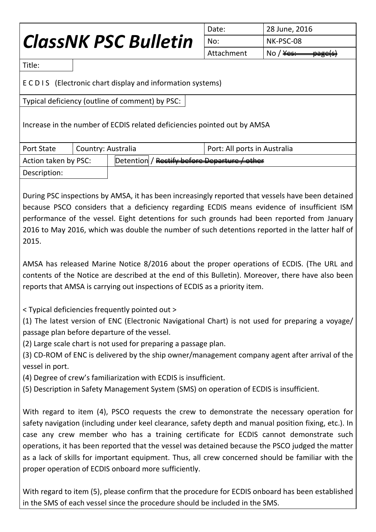## *ClassNK PSC Bulletin*

| I Date:    | 28 June, 2016                                   |  |
|------------|-------------------------------------------------|--|
| l No:      | NK-PSC-08                                       |  |
| Attachment | No / $\frac{y}{x}$<br>$\frac{ \Theta}{ \Theta}$ |  |

Title:

E C D I S (Electronic chart display and information systems)

Typical deficiency (outline of comment) by PSC:

Increase in the number of ECDIS related deficiencies pointed out by AMSA

| <b>Port State</b>    | Country: Australia                           | Port: All ports in Australia |
|----------------------|----------------------------------------------|------------------------------|
| Action taken by PSC: | Detention / Rectify before Departure / other |                              |
| Description:         |                                              |                              |

During PSC inspections by AMSA, it has been increasingly reported that vessels have been detained because PSCO considers that a deficiency regarding ECDIS means evidence of insufficient ISM performance of the vessel. Eight detentions for such grounds had been reported from January 2016 to May 2016, which was double the number of such detentions reported in the latter half of 2015.

AMSA has released Marine Notice 8/2016 about the proper operations of ECDIS. (The URL and contents of the Notice are described at the end of this Bulletin). Moreover, there have also been reports that AMSA is carrying out inspections of ECDIS as a priority item.

< Typical deficiencies frequently pointed out >

(1) The latest version of ENC (Electronic Navigational Chart) is not used for preparing a voyage/ passage plan before departure of the vessel.

(2) Large scale chart is not used for preparing a passage plan.

(3) CD-ROM of ENC is delivered by the ship owner/management company agent after arrival of the vessel in port.

(4) Degree of crew's familiarization with ECDIS is insufficient.

(5) Description in Safety Management System (SMS) on operation of ECDIS is insufficient.

With regard to item (4), PSCO requests the crew to demonstrate the necessary operation for safety navigation (including under keel clearance, safety depth and manual position fixing, etc.). In case any crew member who has a training certificate for ECDIS cannot demonstrate such operations, it has been reported that the vessel was detained because the PSCO judged the matter as a lack of skills for important equipment. Thus, all crew concerned should be familiar with the proper operation of ECDIS onboard more sufficiently.

With regard to item (5), please confirm that the procedure for ECDIS onboard has been established in the SMS of each vessel since the procedure should be included in the SMS.